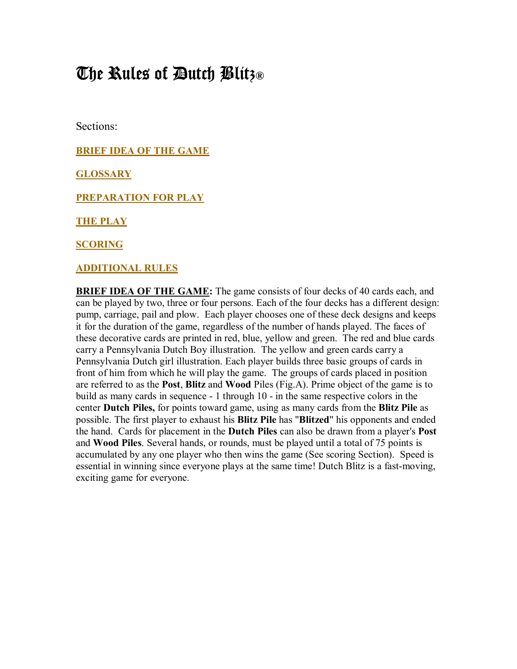# The Rules of Dutch Blitz**®**

Sections:

**BRIEF IDEA OF THE GAME**

**GLOSSARY**

**PREPARATION FOR PLAY**

**THE PLAY**

**SCORING**

#### **ADDITIONAL RULES**

**BRIEF IDEA OF THE GAME:** The game consists of four decks of 40 cards each, and can be played by two, three or four persons. Each of the four decks has a different design: pump, carriage, pail and plow. Each player chooses one of these deck designs and keeps it for the duration of the game, regardless of the number of hands played. The faces of these decorative cards are printed in red, blue, yellow and green. The red and blue cards carry a Pennsylvania Dutch Boy illustration. The yellow and green cards carry a Pennsylvania Dutch girl illustration. Each player builds three basic groups of cards in front of him from which he will play the game. The groups of cards placed in position are referred to as the **Post**, **Blitz** and **Wood** Piles (Fig.A). Prime object of the game is to build as many cards in sequence - 1 through 10 - in the same respective colors in the center **Dutch Piles,** for points toward game, using as many cards from the **Blitz Pile** as possible. The first player to exhaust his **Blitz Pile** has "**Blitzed**" his opponents and ended the hand. Cards for placement in the **Dutch Piles** can also be drawn from a player's **Post** and **Wood Piles**. Several hands, or rounds, must be played until a total of 75 points is accumulated by any one player who then wins the game (See scoring Section). Speed is essential in winning since everyone plays at the same time! Dutch Blitz is a fast-moving, exciting game for everyone.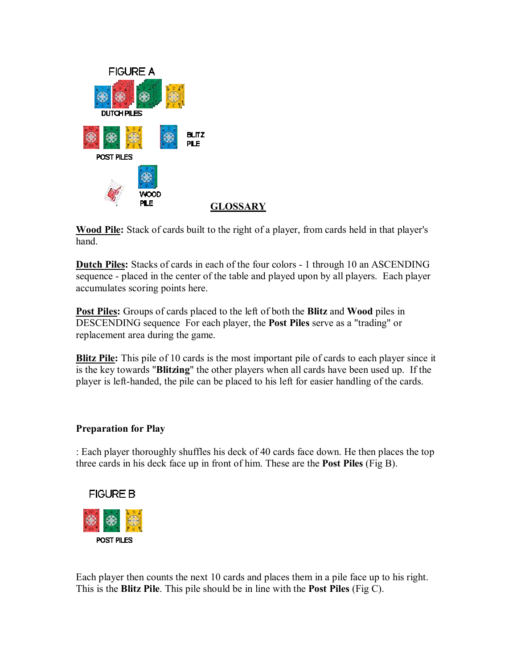

**GLOSSARY**

**Wood Pile:** Stack of cards built to the right of a player, from cards held in that player's hand.

**Dutch Piles:** Stacks of cards in each of the four colors - 1 through 10 an ASCENDING sequence - placed in the center of the table and played upon by all players. Each player accumulates scoring points here.

**Post Piles:** Groups of cards placed to the left of both the **Blitz** and **Wood** piles in DESCENDING sequence For each player, the **Post Piles** serve as a "trading" or replacement area during the game.

**Blitz Pile:** This pile of 10 cards is the most important pile of cards to each player since it is the key towards "**Blitzing**" the other players when all cards have been used up. If the player is left-handed, the pile can be placed to his left for easier handling of the cards.

### **Preparation for Play**

: Each player thoroughly shuffles his deck of 40 cards face down. He then places the top three cards in his deck face up in front of him. These are the **Post Piles** (Fig B).



Each player then counts the next 10 cards and places them in a pile face up to his right. This is the **Blitz Pile**. This pile should be in line with the **Post Piles** (Fig C).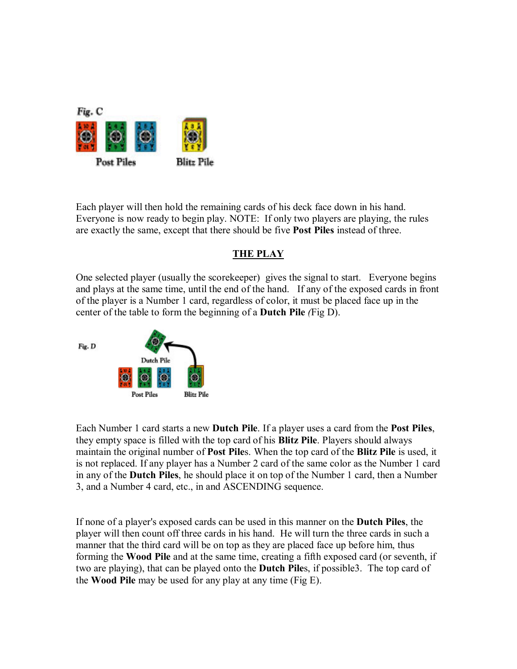

Each player will then hold the remaining cards of his deck face down in his hand. Everyone is now ready to begin play. NOTE: If only two players are playing, the rules are exactly the same, except that there should be five **Post Piles** instead of three.

# **THE PLAY**

One selected player (usually the scorekeeper) gives the signal to start. Everyone begins and plays at the same time, until the end of the hand. If any of the exposed cards in front of the player is a Number 1 card, regardless of color, it must be placed face up in the center of the table to form the beginning of a **Dutch Pile** *(*Fig D).



Each Number 1 card starts a new **Dutch Pile**. If a player uses a card from the **Post Piles**, they empty space is filled with the top card of his **Blitz Pile**. Players should always maintain the original number of **Post Pile**s. When the top card of the **Blitz Pile** is used, it is not replaced. If any player has a Number 2 card of the same color as the Number 1 card in any of the **Dutch Piles**, he should place it on top of the Number 1 card, then a Number 3, and a Number 4 card, etc., in and ASCENDING sequence.

If none of a player's exposed cards can be used in this manner on the **Dutch Piles**, the player will then count off three cards in his hand. He will turn the three cards in such a manner that the third card will be on top as they are placed face up before him, thus forming the **Wood Pile** and at the same time, creating a fifth exposed card (or seventh, if two are playing), that can be played onto the **Dutch Pile**s, if possible3. The top card of the **Wood Pile** may be used for any play at any time (Fig E).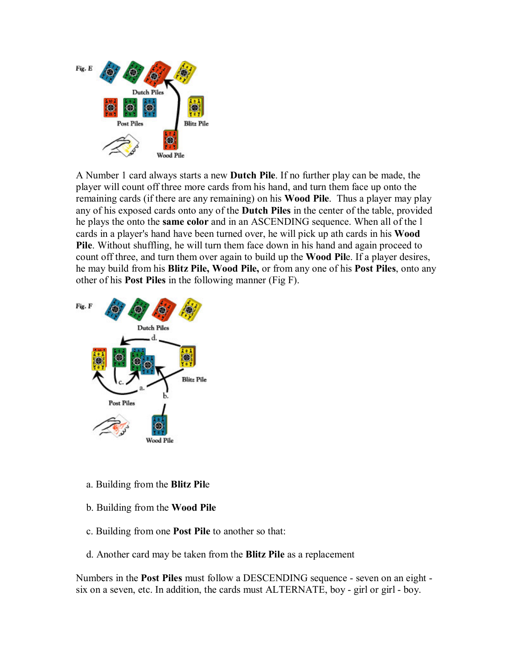

A Number 1 card always starts a new **Dutch Pile**. If no further play can be made, the player will count off three more cards from his hand, and turn them face up onto the remaining cards (if there are any remaining) on his **Wood Pile**. Thus a player may play any of his exposed cards onto any of the **Dutch Piles** in the center of the table, provided he plays the onto the **same color** and in an ASCENDING sequence. When all of the l cards in a player's hand have been turned over, he will pick up ath cards in his **Wood Pile**. Without shuffling, he will turn them face down in his hand and again proceed to count off three, and turn them over again to build up the **Wood Pil**e. If a player desires, he may build from his **Blitz Pile, Wood Pile,** or from any one of his **Post Piles**, onto any other of his **Post Piles** in the following manner (Fig F).



- a. Building from the **Blitz Pil**e
- b. Building from the **Wood Pile**
- c. Building from one **Post Pile** to another so that:
- d. Another card may be taken from the **Blitz Pile** as a replacement

Numbers in the **Post Piles** must follow a DESCENDING sequence - seven on an eight six on a seven, etc. In addition, the cards must ALTERNATE, boy - girl or girl - boy.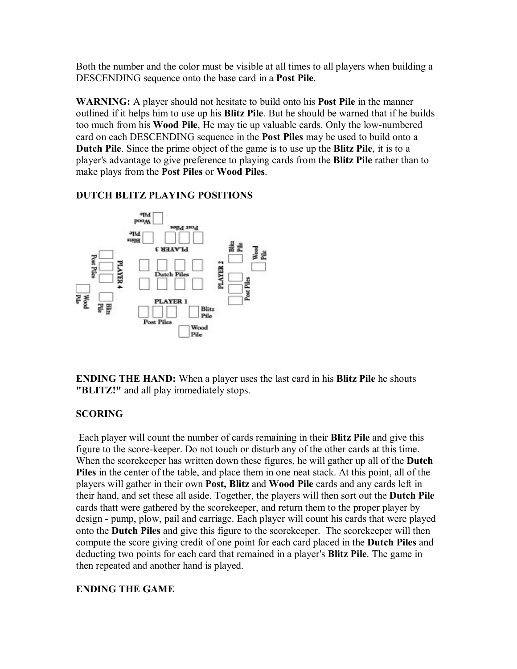Both the number and the color must be visible at all times to all players when building a DESCENDING sequence onto the base card in a **Post Pile**.

**WARNING:** A player should not hesitate to build onto his **Post Pile** in the manner outlined if it helps him to use up his **Blitz Pile**. But he should be warned that if he builds too much from his **Wood Pile**, He may tie up valuable cards. Only the low-numbered card on each DESCENDING sequence in the **Post Piles** may be used to build onto a **Dutch Pile**. Since the prime object of the game is to use up the **Blitz Pile**, it is to a player's advantage to give preference to playing cards from the **Blitz Pile** rather than to make plays from the **Post Piles** or **Wood Piles**.



# **DUTCH BLITZ PLAYING POSITIONS**

**ENDING THE HAND:** When a player uses the last card in his **Blitz Pile** he shouts **"BLITZ!"** and all play immediately stops.

### **SCORING**

Each player will count the number of cards remaining in their **Blitz Pile** and give this figure to the score-keeper. Do not touch or disturb any of the other cards at this time. When the scorekeeper has written down these figures, he will gather up all of the **Dutch Piles** in the center of the table, and place them in one neat stack. At this point, all of the players will gather in their own **Post, Blitz** and **Wood Pile** cards and any cards left in their hand, and set these all aside. Together, the players will then sort out the **Dutch Pile** cards thatt were gathered by the scorekeeper, and return them to the proper player by design - pump, plow, pail and carriage. Each player will count his cards that were played onto the **Dutch Piles** and give this figure to the scorekeeper. The scorekeeper will then compute the score giving credit of one point for each card placed in the **Dutch Piles** and deducting two points for each card that remained in a player's **Blitz Pile**. The game in then repeated and another hand is played.

### **ENDING THE GAME**